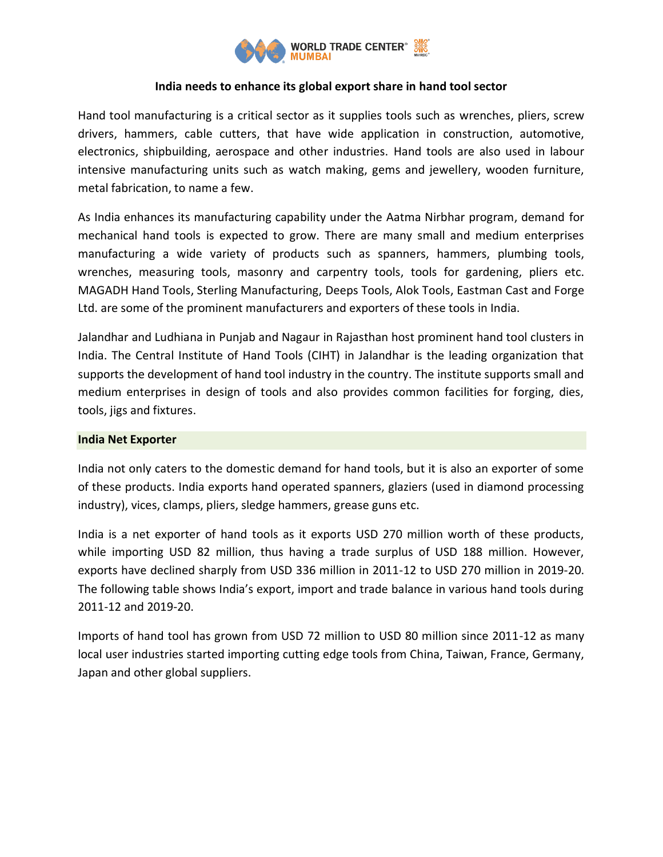

# **India needs to enhance its global export share in hand tool sector**

Hand tool manufacturing is a critical sector as it supplies tools such as wrenches, pliers, screw drivers, hammers, cable cutters, that have wide application in construction, automotive, electronics, shipbuilding, aerospace and other industries. Hand tools are also used in labour intensive manufacturing units such as watch making, gems and jewellery, wooden furniture, metal fabrication, to name a few.

As India enhances its manufacturing capability under the Aatma Nirbhar program, demand for mechanical hand tools is expected to grow. There are many small and medium enterprises manufacturing a wide variety of products such as spanners, hammers, plumbing tools, wrenches, measuring tools, masonry and carpentry tools, tools for gardening, pliers etc. MAGADH Hand Tools, Sterling Manufacturing, Deeps Tools, Alok Tools, Eastman Cast and Forge Ltd. are some of the prominent manufacturers and exporters of these tools in India.

Jalandhar and Ludhiana in Punjab and Nagaur in Rajasthan host prominent hand tool clusters in India. The Central Institute of Hand Tools (CIHT) in Jalandhar is the leading organization that supports the development of hand tool industry in the country. The institute supports small and medium enterprises in design of tools and also provides common facilities for forging, dies, tools, jigs and fixtures.

# **India Net Exporter**

India not only caters to the domestic demand for hand tools, but it is also an exporter of some of these products. India exports hand operated spanners, glaziers (used in diamond processing industry), vices, clamps, pliers, sledge hammers, grease guns etc.

India is a net exporter of hand tools as it exports USD 270 million worth of these products, while importing USD 82 million, thus having a trade surplus of USD 188 million. However, exports have declined sharply from USD 336 million in 2011-12 to USD 270 million in 2019-20. The following table shows India's export, import and trade balance in various hand tools during 2011-12 and 2019-20.

Imports of hand tool has grown from USD 72 million to USD 80 million since 2011-12 as many local user industries started importing cutting edge tools from China, Taiwan, France, Germany, Japan and other global suppliers.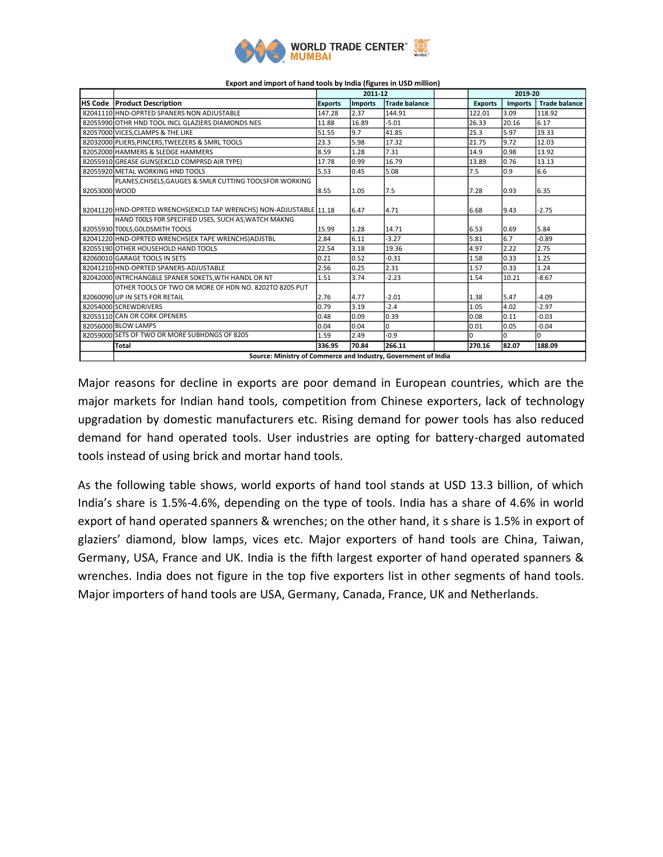

|               |                                                                      | 2011-12        |                |                      | 2019-20 |                |                |                      |
|---------------|----------------------------------------------------------------------|----------------|----------------|----------------------|---------|----------------|----------------|----------------------|
|               | <b>IHS Code Product Description</b>                                  | <b>Exports</b> | <b>Imports</b> | <b>Trade balance</b> |         | <b>Exports</b> | <b>Imports</b> | <b>Trade balance</b> |
|               | 82041110 HND-OPRTED SPANERS NON ADJUSTABLE                           | 147.28         | 2.37           | 144.91               |         | 122.01         | 3.09           | 118.92               |
|               | 82055990 OTHR HND TOOL INCL GLAZIERS DIAMONDS NES                    | 11.88          | 16.89          | $-5.01$              |         | 26.33          | 20.16          | 6.17                 |
|               | 82057000 VICES.CLAMPS & THE LIKE                                     | 51.55          | 9.7            | 41.85                |         | 25.3           | 5.97           | 19.33                |
|               | 82032000 PLIERS, PINCERS, TWEEZERS & SMRL TOOLS                      | 23.3           | 5.98           | 17.32                |         | 21.75          | 9.72           | 12.03                |
|               | 82052000 HAMMERS & SLEDGE HAMMERS                                    | 8.59           | 1.28           | 7.31                 |         | 14.9           | 0.98           | 13.92                |
|               | 82055910 GREASE GUNS (EXCLD COMPRSD AIR TYPE)                        | 17.78          | 0.99           | 16.79                |         | 13.89          | 0.76           | 13.13                |
|               | 82055920 METAL WORKING HND TOOLS                                     | 5.53           | 0.45           | 5.08                 |         | 7.5            | 0.9            | 6.6                  |
|               | PLANES, CHISELS, GAUGES & SMLR CUTTING TOOLSFOR WORKING              |                |                |                      |         |                |                |                      |
| 82053000 WOOD |                                                                      | 8.55           | 1.05           | 7.5                  |         | 7.28           | 0.93           | 6.35                 |
|               |                                                                      |                |                |                      |         |                |                |                      |
|               | 82041120 HND-OPRTED WRENCHS (EXCLD TAP WRENCHS) NON-ADJUSTABLE 11.18 |                | 6.47           | 4.71                 |         | 6.68           | 9.43           | $-2.75$              |
|               | HAND TOOLS FOR SPECIFIED USES, SUCH AS, WATCH MAKNG                  |                |                |                      |         |                |                |                      |
|               | 82055930 T00LS, GOLDSMITH TOOLS                                      | 15.99          | 1.28           | 14.71                |         | 6.53           | 0.69           | 5.84                 |
|               | 82041220 HND-OPRTED WRENCHS (EX TAPE WRENCHS) ADJSTBL                | 2.84           | 6.11           | $-3.27$              |         | 5.81           | 6.7            | $-0.89$              |
|               | 82055190 OTHER HOUSEHOLD HAND TOOLS                                  | 22.54          | 3.18           | 19.36                |         | 4.97           | 2.22           | 2.75                 |
|               | 82060010 GARAGE TOOLS IN SETS                                        | 0.21           | 0.52           | $-0.31$              |         | 1.58           | 0.33           | 1.25                 |
|               | 82041210 HND-OPRTED SPANERS-ADJUSTABLE                               | 2.56           | 0.25           | 2.31                 |         | 1.57           | 0.33           | 1.24                 |
|               | 82042000 INTRCHANGBLE SPANER SOKETS, WTH HANDL OR NT                 | 1.51           | 3.74           | $-2.23$              |         | 1.54           | 10.21          | $-8.67$              |
|               | OTHER TOOLS OF TWO OR MORE OF HDN NO. 8202TO 8205 PUT                |                |                |                      |         |                |                |                      |
|               | 82060090 UP IN SETS FOR RETAIL                                       | 2.76           | 4.77           | $-2.01$              |         | 1.38           | 5.47           | $-4.09$              |
|               | 82054000 SCREWDRIVERS                                                | 0.79           | 3.19           | $-2.4$               |         | 1.05           | 4.02           | $-2.97$              |
|               | 82055110 CAN OR CORK OPENERS                                         | 0.48           | 0.09           | 0.39                 |         | 0.08           | 0.11           | $-0.03$              |
|               | 82056000 BLOW LAMPS                                                  | 0.04           | 0.04           | 0                    |         | 0.01           | 0.05           | $-0.04$              |
|               | 82059000 SETS OF TWO OR MORE SUBHDNGS OF 8205                        | 1.59           | 2.49           | $-0.9$               |         | $\Omega$       | <sup>0</sup>   | $\Omega$             |
|               | <b>Total</b>                                                         | 336.95         | 70.84          | 266.11               |         | 270.16         | 82.07          | 188.09               |
|               | Source: Ministry of Commerce and Industry, Government of India       |                |                |                      |         |                |                |                      |

#### **Export and import of hand tools by India (figures in USD million)**

Major reasons for decline in exports are poor demand in European countries, which are the major markets for Indian hand tools, competition from Chinese exporters, lack of technology upgradation by domestic manufacturers etc. Rising demand for power tools has also reduced demand for hand operated tools. User industries are opting for battery-charged automated tools instead of using brick and mortar hand tools.

As the following table shows, world exports of hand tool stands at USD 13.3 billion, of which India's share is 1.5%-4.6%, depending on the type of tools. India has a share of 4.6% in world export of hand operated spanners & wrenches; on the other hand, it s share is 1.5% in export of glaziers' diamond, blow lamps, vices etc. Major exporters of hand tools are China, Taiwan, Germany, USA, France and UK. India is the fifth largest exporter of hand operated spanners & wrenches. India does not figure in the top five exporters list in other segments of hand tools. Major importers of hand tools are USA, Germany, Canada, France, UK and Netherlands.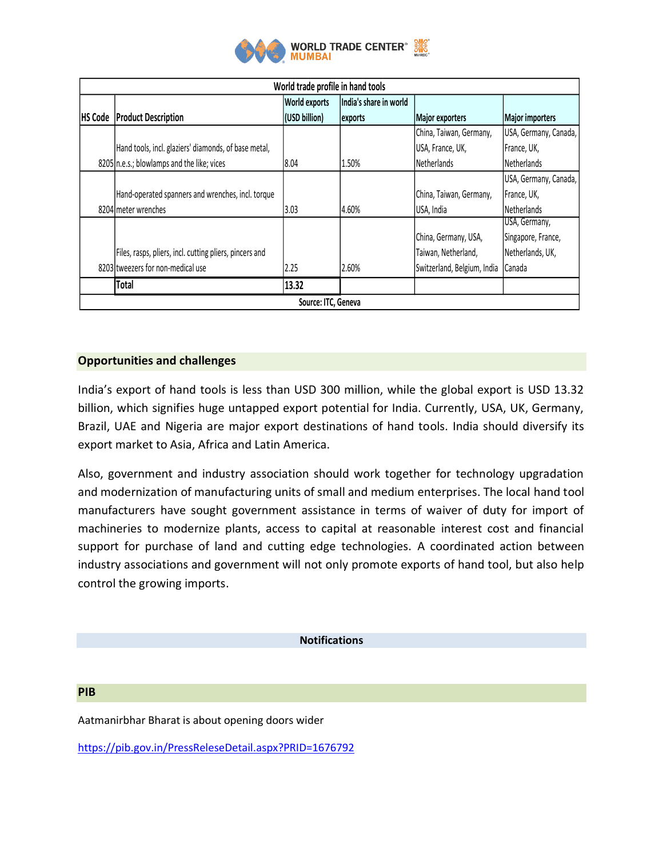

| World trade profile in hand tools |                                                         |                      |                        |                             |                       |  |  |  |  |  |  |
|-----------------------------------|---------------------------------------------------------|----------------------|------------------------|-----------------------------|-----------------------|--|--|--|--|--|--|
|                                   |                                                         | <b>World exports</b> | India's share in world |                             |                       |  |  |  |  |  |  |
| <b>HS Code</b>                    | <b>Product Description</b>                              | (USD billion)        | exports                | <b>Major exporters</b>      | Major importers       |  |  |  |  |  |  |
|                                   |                                                         |                      |                        | China, Taiwan, Germany,     | USA, Germany, Canada, |  |  |  |  |  |  |
|                                   | Hand tools, incl. glaziers' diamonds, of base metal,    |                      |                        | USA, France, UK,            | France, UK,           |  |  |  |  |  |  |
|                                   | 8205 n.e.s.; blowlamps and the like; vices              | 8.04                 | 1.50%                  | Netherlands                 | Netherlands           |  |  |  |  |  |  |
|                                   |                                                         |                      |                        |                             | USA, Germany, Canada, |  |  |  |  |  |  |
|                                   | Hand-operated spanners and wrenches, incl. torque       |                      |                        | China, Taiwan, Germany,     | France, UK,           |  |  |  |  |  |  |
|                                   | 8204 meter wrenches                                     | 3.03                 | 4.60%                  | USA, India                  | Netherlands           |  |  |  |  |  |  |
|                                   |                                                         |                      |                        |                             | USA, Germany,         |  |  |  |  |  |  |
|                                   |                                                         |                      |                        | China, Germany, USA,        | Singapore, France,    |  |  |  |  |  |  |
|                                   | Files, rasps, pliers, incl. cutting pliers, pincers and |                      |                        | Taiwan, Netherland,         | Netherlands, UK,      |  |  |  |  |  |  |
|                                   | 8203 tweezers for non-medical use                       | 2.25                 | 2.60%                  | Switzerland, Belgium, India | Canada                |  |  |  |  |  |  |
|                                   | <b>Total</b>                                            | 13.32                |                        |                             |                       |  |  |  |  |  |  |
| Source: ITC, Geneva               |                                                         |                      |                        |                             |                       |  |  |  |  |  |  |

# **Opportunities and challenges**

India's export of hand tools is less than USD 300 million, while the global export is USD 13.32 billion, which signifies huge untapped export potential for India. Currently, USA, UK, Germany, Brazil, UAE and Nigeria are major export destinations of hand tools. India should diversify its export market to Asia, Africa and Latin America.

Also, government and industry association should work together for technology upgradation and modernization of manufacturing units of small and medium enterprises. The local hand tool manufacturers have sought government assistance in terms of waiver of duty for import of machineries to modernize plants, access to capital at reasonable interest cost and financial support for purchase of land and cutting edge technologies. A coordinated action between industry associations and government will not only promote exports of hand tool, but also help control the growing imports.

**Notifications**

#### **PIB**

Aatmanirbhar Bharat is about opening doors wider

<https://pib.gov.in/PressReleseDetail.aspx?PRID=1676792>